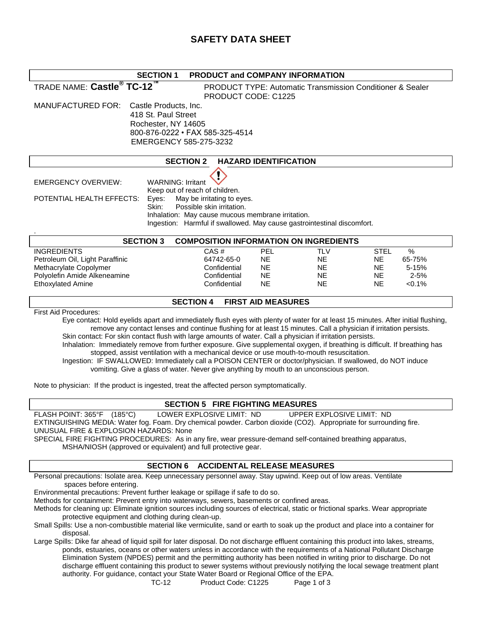# **SAFETY DATA SHEET**

| <b>SECTION 1</b>                                                                                                                                                                                      | <b>PRODUCT and COMPANY INFORMATION</b>                                  |                              |                        |                                                                      |  |
|-------------------------------------------------------------------------------------------------------------------------------------------------------------------------------------------------------|-------------------------------------------------------------------------|------------------------------|------------------------|----------------------------------------------------------------------|--|
| TRADE NAME: Castle <sup>®</sup> TC-12 <sup>™</sup>                                                                                                                                                    |                                                                         |                              |                        | <b>PRODUCT TYPE: Automatic Transmission Conditioner &amp; Sealer</b> |  |
|                                                                                                                                                                                                       | PRODUCT CODE: C1225                                                     |                              |                        |                                                                      |  |
| <b>MANUFACTURED FOR:</b><br>Castle Products, Inc.                                                                                                                                                     |                                                                         |                              |                        |                                                                      |  |
| 418 St. Paul Street                                                                                                                                                                                   |                                                                         |                              |                        |                                                                      |  |
| Rochester, NY 14605                                                                                                                                                                                   |                                                                         |                              |                        |                                                                      |  |
| 800-876-0222 · FAX 585-325-4514                                                                                                                                                                       |                                                                         |                              |                        |                                                                      |  |
| EMERGENCY 585-275-3232                                                                                                                                                                                |                                                                         |                              |                        |                                                                      |  |
|                                                                                                                                                                                                       |                                                                         |                              |                        |                                                                      |  |
|                                                                                                                                                                                                       | <b>SECTION 2</b>                                                        | <b>HAZARD IDENTIFICATION</b> |                        |                                                                      |  |
|                                                                                                                                                                                                       |                                                                         |                              |                        |                                                                      |  |
| <b>WARNING: Irritant</b><br><b>EMERGENCY OVERVIEW:</b>                                                                                                                                                |                                                                         |                              |                        |                                                                      |  |
| Keep out of reach of children.                                                                                                                                                                        |                                                                         |                              |                        |                                                                      |  |
| POTENTIAL HEALTH EFFECTS:<br>Eyes:                                                                                                                                                                    | May be irritating to eyes.                                              |                              |                        |                                                                      |  |
| Skin:                                                                                                                                                                                                 | Possible skin irritation.                                               |                              |                        |                                                                      |  |
|                                                                                                                                                                                                       | Inhalation: May cause mucous membrane irritation.                       |                              |                        |                                                                      |  |
|                                                                                                                                                                                                       | Ingestion: Harmful if swallowed. May cause gastrointestinal discomfort. |                              |                        |                                                                      |  |
| <b>SECTION 3</b><br><b>COMPOSITION INFORMATION ON INGREDIENTS</b>                                                                                                                                     |                                                                         |                              |                        |                                                                      |  |
|                                                                                                                                                                                                       |                                                                         |                              |                        |                                                                      |  |
| <b>INGREDIENTS</b>                                                                                                                                                                                    | CAS#<br>64742-65-0                                                      | PEL<br><b>NE</b>             | <b>TLV</b>             | $\%$<br><b>STEL</b><br><b>NE</b>                                     |  |
| Petroleum Oil, Light Paraffinic<br>Methacrylate Copolymer                                                                                                                                             | Confidential                                                            | NE.                          | <b>NE</b><br><b>NE</b> | 65-75%<br>NE.<br>$5 - 15%$                                           |  |
| Polyolefin Amide Alkeneamine                                                                                                                                                                          | Confidential                                                            | <b>NE</b>                    | <b>NE</b>              | $2 - 5%$<br><b>NE</b>                                                |  |
| <b>Ethoxylated Amine</b>                                                                                                                                                                              | Confidential                                                            | <b>NE</b>                    | <b>NE</b>              | < 0.1%<br><b>NE</b>                                                  |  |
|                                                                                                                                                                                                       |                                                                         |                              |                        |                                                                      |  |
| <b>FIRST AID MEASURES</b><br><b>SECTION 4</b>                                                                                                                                                         |                                                                         |                              |                        |                                                                      |  |
| <b>First Aid Procedures:</b>                                                                                                                                                                          |                                                                         |                              |                        |                                                                      |  |
| Eye contact: Hold eyelids apart and immediately flush eyes with plenty of water for at least 15 minutes. After initial flushing,                                                                      |                                                                         |                              |                        |                                                                      |  |
| remove any contact lenses and continue flushing for at least 15 minutes. Call a physician if irritation persists.                                                                                     |                                                                         |                              |                        |                                                                      |  |
| Skin contact: For skin contact flush with large amounts of water. Call a physician if irritation persists.                                                                                            |                                                                         |                              |                        |                                                                      |  |
| Inhalation: Immediately remove from further exposure. Give supplemental oxygen, if breathing is difficult. If breathing has                                                                           |                                                                         |                              |                        |                                                                      |  |
| stopped, assist ventilation with a mechanical device or use mouth-to-mouth resuscitation.                                                                                                             |                                                                         |                              |                        |                                                                      |  |
| Ingestion: IF SWALLOWED: Immediately call a POISON CENTER or doctor/physician. If swallowed, do NOT induce<br>vomiting. Give a glass of water. Never give anything by mouth to an unconscious person. |                                                                         |                              |                        |                                                                      |  |
|                                                                                                                                                                                                       |                                                                         |                              |                        |                                                                      |  |

Note to physician: If the product is ingested, treat the affected person symptomatically.

#### **SECTION 5 FIRE FIGHTING MEASURES**

FLASH POINT: 365°F (185°C) LOWER EXPLOSIVE LIMIT: ND UPPER EXPLOSIVE LIMIT: ND

EXTINGUISHING MEDIA: Water fog. Foam. Dry chemical powder. Carbon dioxide (CO2). Appropriate for surrounding fire. UNUSUAL FIRE & EXPLOSION HAZARDS: None

SPECIAL FIRE FIGHTING PROCEDURES: As in any fire, wear pressure-demand self-contained breathing apparatus, MSHA/NIOSH (approved or equivalent) and full protective gear.

#### **SECTION 6 ACCIDENTAL RELEASE MEASURES**

Personal precautions: Isolate area. Keep unnecessary personnel away. Stay upwind. Keep out of low areas. Ventilate spaces before entering.

Environmental precautions: Prevent further leakage or spillage if safe to do so.

Methods for containment: Prevent entry into waterways, sewers, basements or confined areas.

Methods for cleaning up: Eliminate ignition sources including sources of electrical, static or frictional sparks. Wear appropriate protective equipment and clothing during clean-up.

Small Spills: Use a non-combustible material like vermiculite, sand or earth to soak up the product and place into a container for disposal.

Large Spills: Dike far ahead of liquid spill for later disposal. Do not discharge effluent containing this product into lakes, streams, ponds, estuaries, oceans or other waters unless in accordance with the requirements of a National Pollutant Discharge Elimination System (NPDES) permit and the permitting authority has been notified in writing prior to discharge. Do not discharge effluent containing this product to sewer systems without previously notifying the local sewage treatment plant authority. For guidance, contact your State Water Board or Regional Office of the EPA.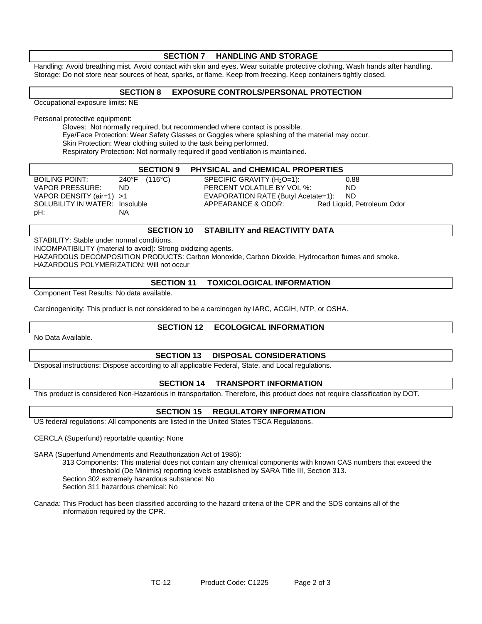## **SECTION 7 HANDLING AND STORAGE** Handling: Avoid breathing mist. Avoid contact with skin and eyes. Wear suitable protective clothing. Wash hands after handling. Storage: Do not store near sources of heat, sparks, or flame. Keep from freezing. Keep containers tightly closed. **SECTION 8 EXPOSURE CONTROLS/PERSONAL PROTECTION** Occupational exposure limits: NE Personal protective equipment: Gloves: Not normally required, but recommended where contact is possible. Eye/Face Protection: Wear Safety Glasses or Goggles where splashing of the material may occur. Skin Protection: Wear clothing suited to the task being performed. Respiratory Protection: Not normally required if good ventilation is maintained. **SECTION 9 PHYSICAL and CHEMICAL PROPERTIES**  BOILING POINT: 240°F (116°C) SPECIFIC GRAVITY (H<sub>2</sub>O=1): 0.88 VAPOR PRESSURE: ND PERCENT VOLATILE BY VOL %: ND VAPOR DENSITY (air=1) >1 EVAPORATION RATE (Butyl Acetate=1): ND SOLUBILITY IN WATER: Insoluble **APPEARANCE & ODOR:** Red Liquid, Petroleum Odor pH: NA

## **SECTION 10 STABILITY and REACTIVITY DATA**

STABILITY: Stable under normal conditions. INCOMPATIBILITY (material to avoid): Strong oxidizing agents. HAZARDOUS DECOMPOSITION PRODUCTS: Carbon Monoxide, Carbon Dioxide, Hydrocarbon fumes and smoke. HAZARDOUS POLYMERIZATION: Will not occur

#### **SECTION 11 TOXICOLOGICAL INFORMATION**

Component Test Results: No data available.

Carcinogenici**t**y: This product is not considered to be a carcinogen by IARC, ACGIH, NTP, or OSHA.

### **SECTION 12 ECOLOGICAL INFORMATION**

No Data Available.

### **SECTION 13 DISPOSAL CONSIDERATIONS**

Disposal instructions: Dispose according to all applicable Federal, State, and Local regulations.

#### **SECTION 14 TRANSPORT INFORMATION**

This product is considered Non-Hazardous in transportation. Therefore, this product does not require classification by DOT.

## **SECTION 15 REGULATORY INFORMATION**

US federal regulations: All components are listed in the United States TSCA Regulations.

CERCLA (Superfund) reportable quantity: None

SARA (Superfund Amendments and Reauthorization Act of 1986):

313 Components: This material does not contain any chemical components with known CAS numbers that exceed the threshold (De Minimis) reporting levels established by SARA Title III, Section 313.

Section 302 extremely hazardous substance: No

Section 311 hazardous chemical: No

Canada: This Product has been classified according to the hazard criteria of the CPR and the SDS contains all of the information required by the CPR.